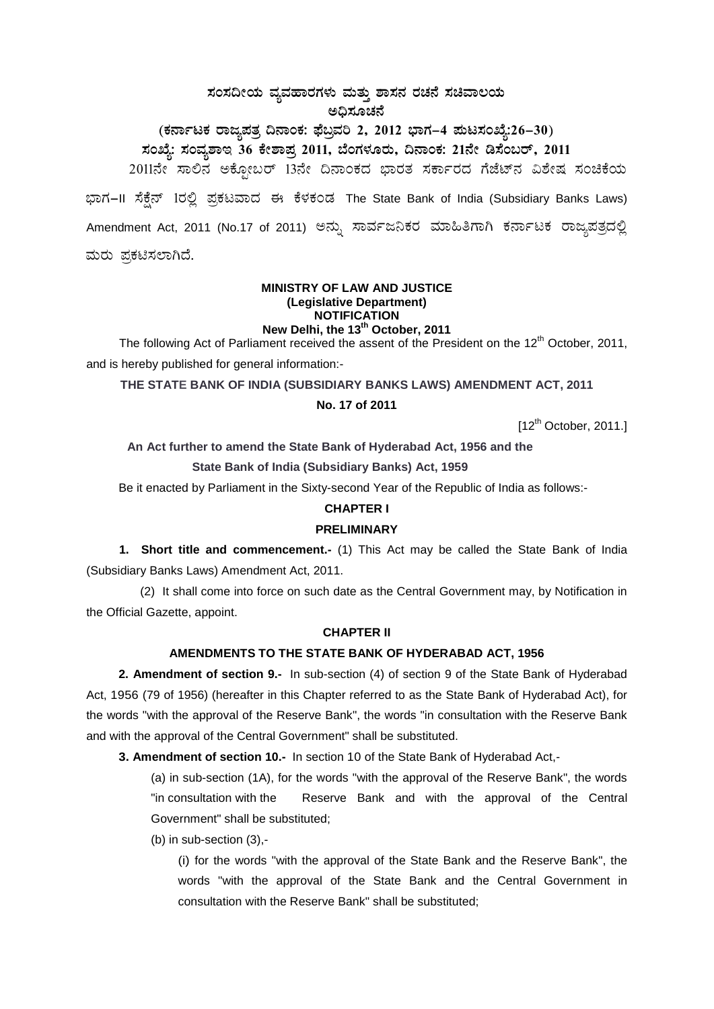# ಸಂಸದೀಯ ವ್ಯವಹಾರಗಳು ಮತ್ತು ಶಾಸನ ರಚನೆ ಸಚಿವಾಲಯ ಅದಿಸೂಚನೆ

(ಕರ್ನಾಟಕ ರಾಜ್ಯಪತ್ರ ದಿನಾಂಕ: ಫೆಬ್ರವರಿ 2, 2012 ಭಾಗ–4 ಮಟಸಂಖ್ಯೆ:26–30) ಸಂಖ್ಯೆ: ಸಂವ್ಯಶಾಇ 36 ಕೇಶಾಪ್ರ 2011, ಬೆಂಗಳೂರು, ದಿನಾಂಕ: 21ನೇ ಡಿಸೆಂಬರ್, 2011 2011ನೇ ಸಾಲಿನ ಅಕ್ಟೋಬರ್ 13ನೇ ದಿನಾಂಕದ ಭಾರತ ಸರ್ಕಾರದ ಗೆಜೆಟ್ನ ವಿಶೇಷ ಸಂಚಿಕೆಯ ಭಾಗ-II ಸೆಕ್ಸೆನ್ 1ರಲ್ಲಿ ಪ್ರಕಟವಾದ ಈ ಕೆಳಕಂಡ The State Bank of India (Subsidiary Banks Laws) Amendment Act, 2011 (No.17 of 2011) ಅನ್ನು ಸಾರ್ವಜನಿಕರ ಮಾಹಿತಿಗಾಗಿ ಕರ್ನಾಟಕ ರಾಜ್ಯಪತ್ರದಲ್ಲಿ ಮರು ಪ್ರಕಟಿಸಲಾಗಿದೆ.

#### **MINISTRY OF LAW AND JUSTICE** (Legislative Department) **NOTIFICATION** New Delhi, the 13<sup>th</sup> October, 2011

The following Act of Parliament received the assent of the President on the 12<sup>th</sup> October, 2011, and is hereby published for general information:-

## THE STATE BANK OF INDIA (SUBSIDIARY BANKS LAWS) AMENDMENT ACT, 2011

#### No. 17 of 2011

 $[12^{th}$  October, 2011.]

An Act further to amend the State Bank of Hyderabad Act, 1956 and the

State Bank of India (Subsidiary Banks) Act, 1959

Be it enacted by Parliament in the Sixty-second Year of the Republic of India as follows:-

# **CHAPTER I**

## **PRELIMINARY**

1. Short title and commencement.- (1) This Act may be called the State Bank of India (Subsidiary Banks Laws) Amendment Act, 2011.

(2) It shall come into force on such date as the Central Government may, by Notification in the Official Gazette, appoint.

## **CHAPTER II**

# AMENDMENTS TO THE STATE BANK OF HYDERABAD ACT, 1956

2. Amendment of section 9.- In sub-section (4) of section 9 of the State Bank of Hyderabad Act, 1956 (79 of 1956) (hereafter in this Chapter referred to as the State Bank of Hyderabad Act), for the words "with the approval of the Reserve Bank", the words "in consultation with the Reserve Bank and with the approval of the Central Government" shall be substituted.

3. Amendment of section 10.- In section 10 of the State Bank of Hyderabad Act.-

(a) in sub-section (1A), for the words "with the approval of the Reserve Bank", the words "in consultation with the Reserve Bank and with the approval of the Central Government" shall be substituted;

(b) in sub-section  $(3)$ ,-

(i) for the words "with the approval of the State Bank and the Reserve Bank", the words "with the approval of the State Bank and the Central Government in consultation with the Reserve Bank" shall be substituted: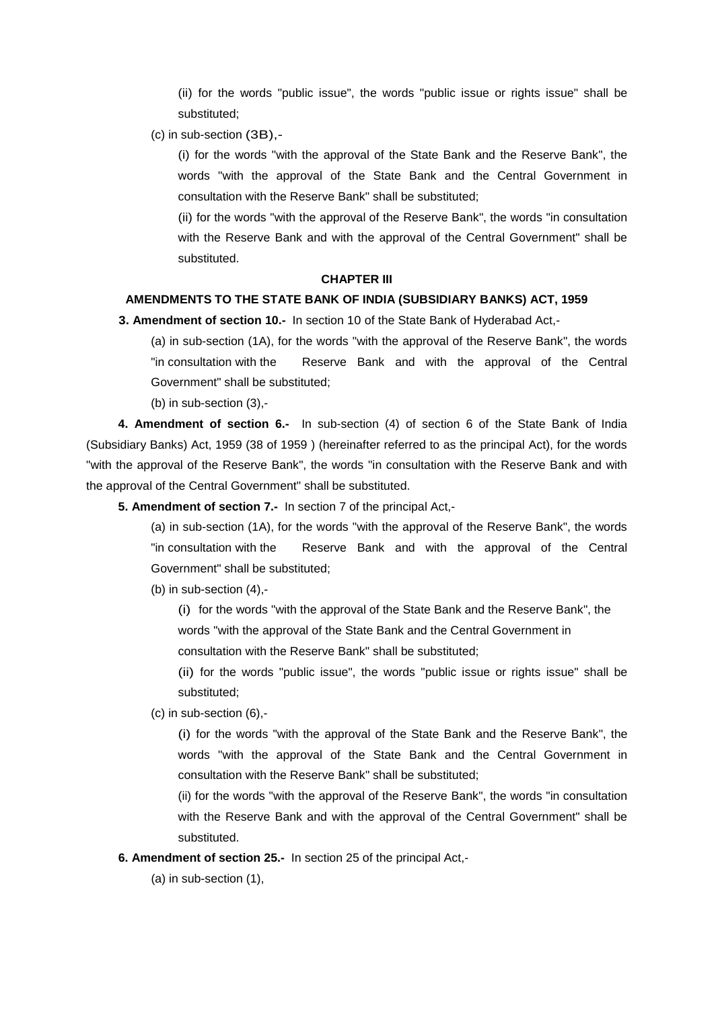(ii) for the words "public issue", the words "public issue or rights issue" shall be substituted;

(c) in sub-section (3B),-

(i) for the words "with the approval of the State Bank and the Reserve Bank", the words "with the approval of the State Bank and the Central Government in consultation with the Reserve Bank" shall be substituted;

(ii) for the words "with the approval of the Reserve Bank", the words "in consultation with the Reserve Bank and with the approval of the Central Government" shall be substituted.

#### **CHAPTER III**

## **AMENDMENTS TO THE STATE BANK OF INDIA (SUBSIDIARY BANKS) ACT, 1959**

**3. Amendment of section 10.-** In section 10 of the State Bank of Hyderabad Act,-

(a) in sub-section (1A), for the words "with the approval of the Reserve Bank", the words "in consultation with the Reserve Bank and with the approval of the Central Government" shall be substituted;

(b) in sub-section (3),-

**4. Amendment of section 6.-** In sub-section (4) of section 6 of the State Bank of India (Subsidiary Banks) Act, 1959 (38 of 1959 ) (hereinafter referred to as the principal Act), for the words "with the approval of the Reserve Bank", the words "in consultation with the Reserve Bank and with the approval of the Central Government" shall be substituted.

**5. Amendment of section 7.-** In section 7 of the principal Act,-

(a) in sub-section (1A), for the words "with the approval of the Reserve Bank", the words "in consultation with the Reserve Bank and with the approval of the Central Government" shall be substituted;

(b) in sub-section (4),-

(i) for the words "with the approval of the State Bank and the Reserve Bank", the words ''with the approval of the State Bank and the Central Government in

consultation with the Reserve Bank" shall be substituted;

(ii) for the words "public issue", the words "public issue or rights issue" shall be substituted;

(c) in sub-section (6),-

(i) for the words "with the approval of the State Bank and the Reserve Bank", the words "with the approval of the State Bank and the Central Government in consultation with the Reserve Bank" shall be substituted;

(ii) for the words "with the approval of the Reserve Bank", the words "in consultation with the Reserve Bank and with the approval of the Central Government" shall be substituted.

**6. Amendment of section 25.-** In section 25 of the principal Act,-

(a) in sub-section (1),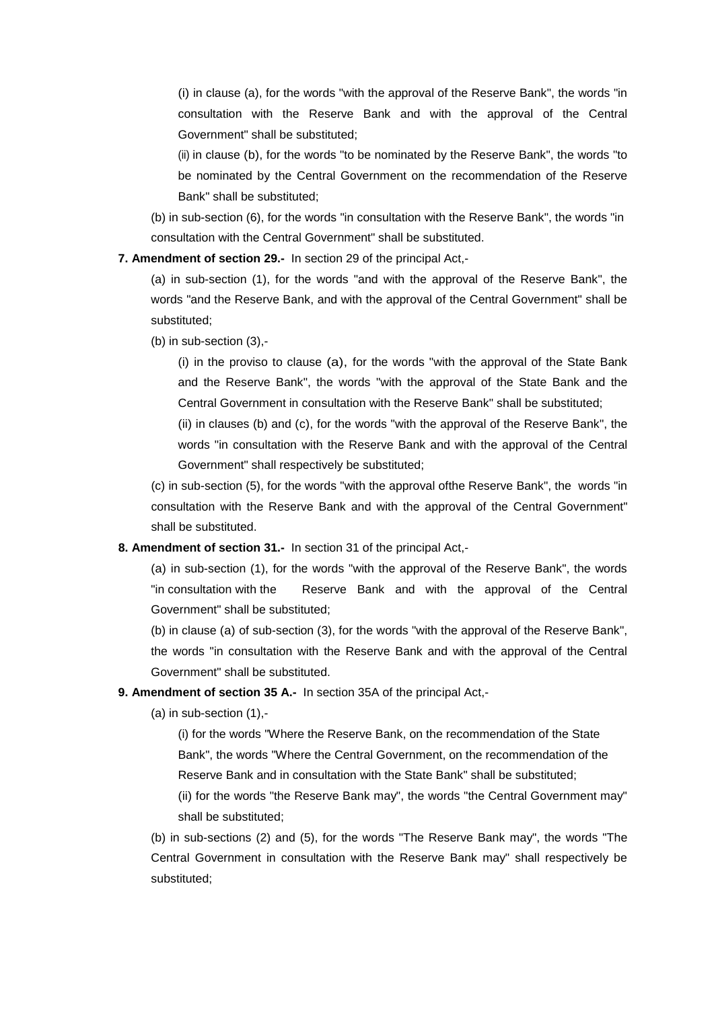(i) in clause (a), for the words "with the approval of the Reserve Bank", the words "in consultation with the Reserve Bank and with the approval of the Central Government" shall be substituted;

(ii) in clause (b), for the words "to be nominated by the Reserve Bank", the words "to be nominated by the Central Government on the recommendation of the Reserve Bank" shall be substituted;

(b) in sub-section (6), for the words "in consultation with the Reserve Bank", the words "in consultation with the Central Government" shall be substituted.

**7. Amendment of section 29.-** In section 29 of the principal Act,-

(a) in sub-section (1), for the words "and with the approval of the Reserve Bank", the words "and the Reserve Bank, and with the approval of the Central Government" shall be substituted;

(b) in sub-section (3),-

(i) in the proviso to clause (a), for the words "with the approval of the State Bank and the Reserve Bank", the words "with the approval of the State Bank and the Central Government in consultation with the Reserve Bank" shall be substituted;

(ii) in clauses (b) and (c), for the words "with the approval of the Reserve Bank", the words "in consultation with the Reserve Bank and with the approval of the Central Government" shall respectively be substituted;

(c) in sub-section (5), for the words "with the approval ofthe Reserve Bank", the words "in consultation with the Reserve Bank and with the approval of the Central Government" shall be substituted.

#### **8. Amendment of section 31.-** In section 31 of the principal Act,-

(a) in sub-section (1), for the words "with the approval of the Reserve Bank", the words "in consultation with the Reserve Bank and with the approval of the Central Government" shall be substituted;

(b) in clause (a) of sub-section (3), for the words "with the approval of the Reserve Bank", the words "in consultation with the Reserve Bank and with the approval of the Central Government" shall be substituted.

## **9. Amendment of section 35 A.-** In section 35A of the principal Act,-

(a) in sub-section (1),-

(i) for the words "Where the Reserve Bank, on the recommendation of the State Bank", the words "Where the Central Government, on the recommendation of the Reserve Bank and in consultation with the State Bank" shall be substituted;

(ii) for the words "the Reserve Bank may", the words "the Central Government may" shall be substituted;

(b) in sub-sections (2) and (5), for the words "The Reserve Bank may", the words "The Central Government in consultation with the Reserve Bank may" shall respectively be substituted;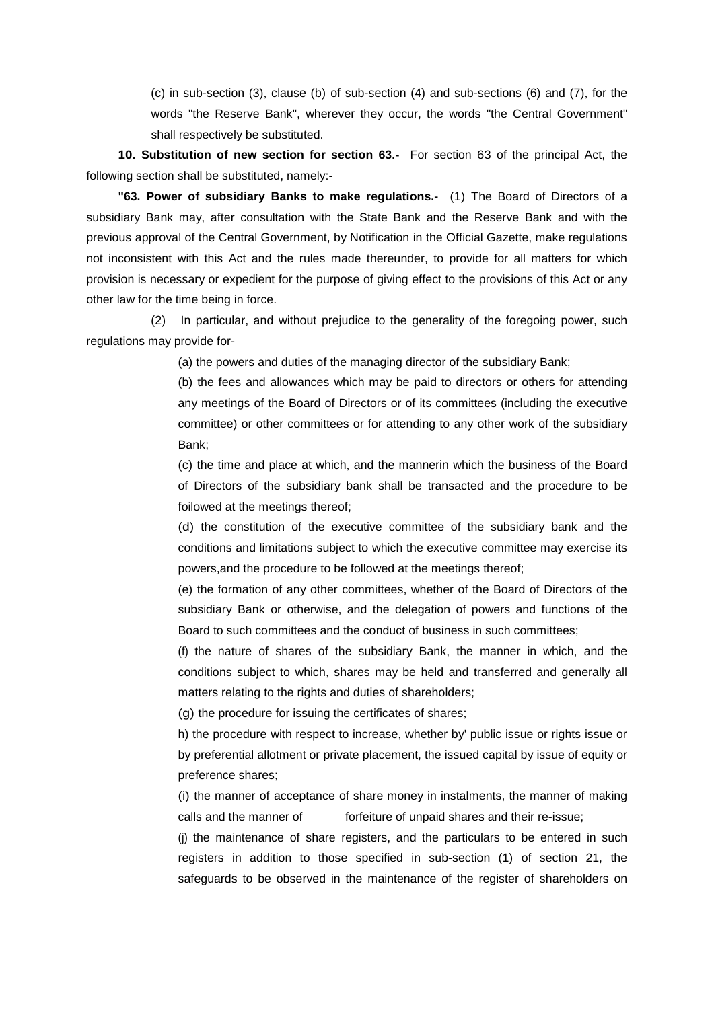(c) in sub-section (3), clause (b) of sub-section (4) and sub-sections (6) and (7), for the words "the Reserve Bank", wherever they occur, the words "the Central Government" shall respectively be substituted.

**10. Substitution of new section for section 63.-** For section 63 of the principal Act, the following section shall be substituted, namely:-

**"63. Power of subsidiary Banks to make regulations.-** (1) The Board of Directors of a subsidiary Bank may, after consultation with the State Bank and the Reserve Bank and with the previous approval of the Central Government, by Notification in the Official Gazette, make regulations not inconsistent with this Act and the rules made thereunder, to provide for all matters for which provision is necessary or expedient for the purpose of giving effect to the provisions of this Act or any other law for the time being in force.

(2) In particular, and without prejudice to the generality of the foregoing power, such regulations may provide for-

(a) the powers and duties of the managing director of the subsidiary Bank;

(b) the fees and allowances which may be paid to directors or others for attending any meetings of the Board of Directors or of its committees (including the executive committee) or other committees or for attending to any other work of the subsidiary Bank;

(c) the time and place at which, and the mannerin which the business of the Board of Directors of the subsidiary bank shall be transacted and the procedure to be foilowed at the meetings thereof;

(d) the constitution of the executive committee of the subsidiary bank and the conditions and limitations subject to which the executive committee may exercise its powers,and the procedure to be followed at the meetings thereof;

(e) the formation of any other committees, whether of the Board of Directors of the subsidiary Bank or otherwise, and the delegation of powers and functions of the Board to such committees and the conduct of business in such committees;

(f) the nature of shares of the subsidiary Bank, the manner in which, and the conditions subject to which, shares may be held and transferred and generally all matters relating to the rights and duties of shareholders;

(g) the procedure for issuing the certificates of shares;

h) the procedure with respect to increase, whether by' public issue or rights issue or by preferential allotment or private placement, the issued capital by issue of equity or preference shares;

(i) the manner of acceptance of share money in instalments, the manner of making calls and the manner of forfeiture of unpaid shares and their re-issue;

(j) the maintenance of share registers, and the particulars to be entered in such registers in addition to those specified in sub-section (1) of section 21, the safeguards to be observed in the maintenance of the register of shareholders on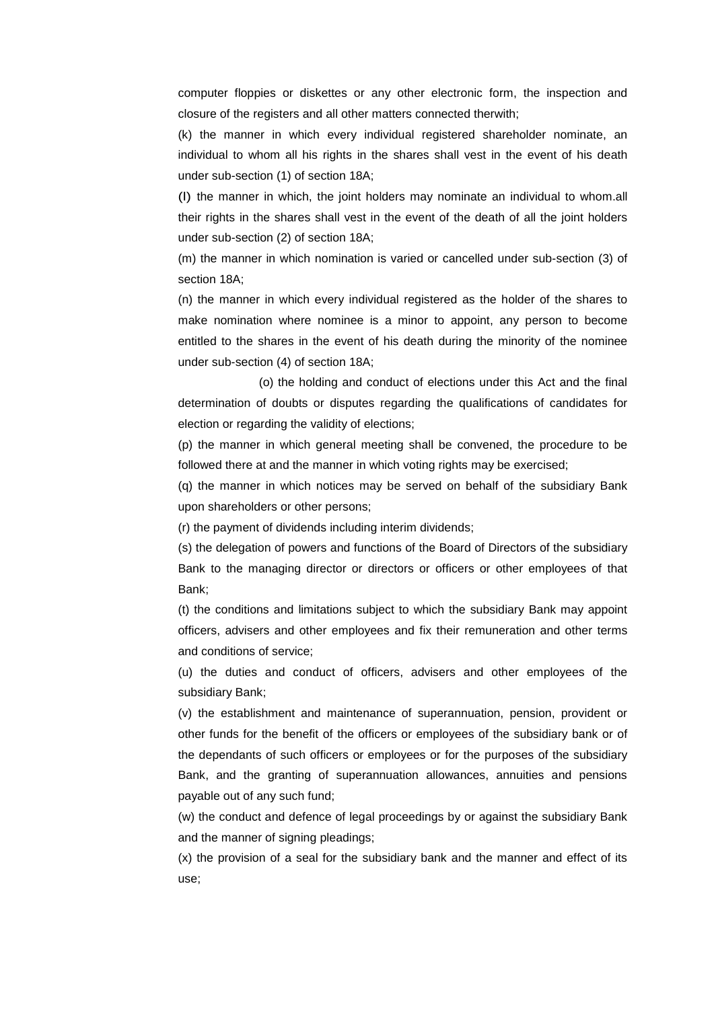computer floppies or diskettes or any other electronic form, the inspection and closure of the registers and all other matters connected therwith;

(k) the manner in which every individual registered shareholder nominate, an individual to whom all his rights in the shares shall vest in the event of his death under sub-section (1) of section 18A;

(l) the manner in which, the joint holders may nominate an individual to whom.all their rights in the shares shall vest in the event of the death of all the joint holders under sub-section (2) of section 18A;

(m) the manner in which nomination is varied or cancelled under sub-section (3) of section 18A;

(n) the manner in which every individual registered as the holder of the shares to make nomination where nominee is a minor to appoint, any person to become entitled to the shares in the event of his death during the minority of the nominee under sub-section (4) of section 18A;

(o) the holding and conduct of elections under this Act and the final determination of doubts or disputes regarding the qualifications of candidates for election or regarding the validity of elections;

(p) the manner in which general meeting shall be convened, the procedure to be followed there at and the manner in which voting rights may be exercised;

(q) the manner in which notices may be served on behalf of the subsidiary Bank upon shareholders or other persons;

(r) the payment of dividends including interim dividends;

(s) the delegation of powers and functions of the Board of Directors of the subsidiary Bank to the managing director or directors or officers or other employees of that Bank;

(t) the conditions and limitations subject to which the subsidiary Bank may appoint officers, advisers and other employees and fix their remuneration and other terms and conditions of service;

(u) the duties and conduct of officers, advisers and other employees of the subsidiary Bank;

(v) the establishment and maintenance of superannuation, pension, provident or other funds for the benefit of the officers or employees of the subsidiary bank or of the dependants of such officers or employees or for the purposes of the subsidiary Bank, and the granting of superannuation allowances, annuities and pensions payable out of any such fund;

(w) the conduct and defence of legal proceedings by or against the subsidiary Bank and the manner of signing pleadings;

(x) the provision of a seal for the subsidiary bank and the manner and effect of its use;